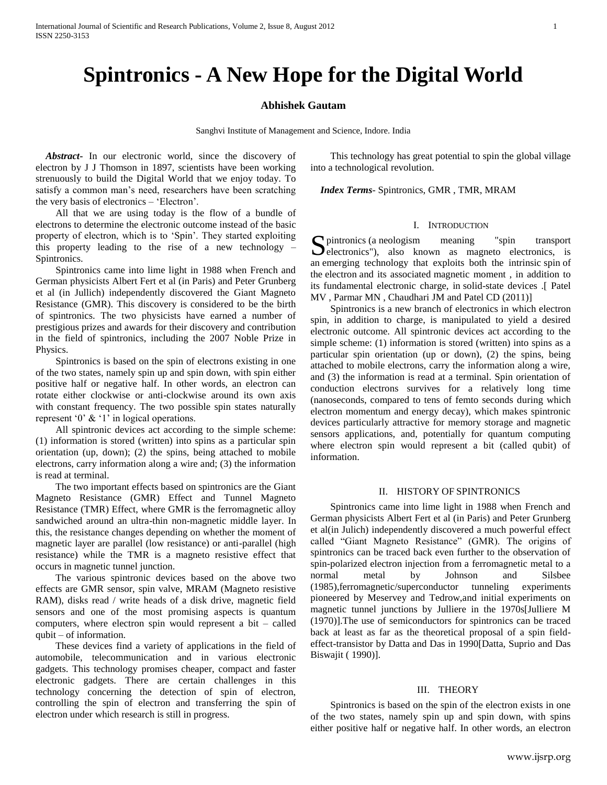# **Spintronics - A New Hope for the Digital World**

# **Abhishek Gautam**

Sanghvi Institute of Management and Science, Indore. India

 *Abstract***-** In our electronic world, since the discovery of electron by J J Thomson in 1897, scientists have been working strenuously to build the Digital World that we enjoy today. To satisfy a common man's need, researchers have been scratching the very basis of electronics – 'Electron'.

 All that we are using today is the flow of a bundle of electrons to determine the electronic outcome instead of the basic property of electron, which is to 'Spin'. They started exploiting this property leading to the rise of a new technology – Spintronics.

 Spintronics came into lime light in 1988 when French and German physicists Albert Fert et al (in Paris) and Peter Grunberg et al (in Jullich) independently discovered the Giant Magneto Resistance (GMR). This discovery is considered to be the birth of spintronics. The two physicists have earned a number of prestigious prizes and awards for their discovery and contribution in the field of spintronics, including the 2007 Noble Prize in Physics.

 Spintronics is based on the spin of electrons existing in one of the two states, namely spin up and spin down, with spin either positive half or negative half. In other words, an electron can rotate either clockwise or anti-clockwise around its own axis with constant frequency. The two possible spin states naturally represent  $0'$  &  $'1'$  in logical operations.

 All spintronic devices act according to the simple scheme: (1) information is stored (written) into spins as a particular spin orientation (up, down); (2) the spins, being attached to mobile electrons, carry information along a wire and; (3) the information is read at terminal.

 The two important effects based on spintronics are the Giant Magneto Resistance (GMR) Effect and Tunnel Magneto Resistance (TMR) Effect, where GMR is the ferromagnetic alloy sandwiched around an ultra-thin non-magnetic middle layer. In this, the resistance changes depending on whether the moment of magnetic layer are parallel (low resistance) or anti-parallel (high resistance) while the TMR is a magneto resistive effect that occurs in magnetic tunnel junction.

 The various spintronic devices based on the above two effects are GMR sensor, spin valve, MRAM (Magneto resistive RAM), disks read / write heads of a disk drive, magnetic field sensors and one of the most promising aspects is quantum computers, where electron spin would represent a bit – called qubit – of information.

 These devices find a variety of applications in the field of automobile, telecommunication and in various electronic gadgets. This technology promises cheaper, compact and faster electronic gadgets. There are certain challenges in this technology concerning the detection of spin of electron, controlling the spin of electron and transferring the spin of electron under which research is still in progress.

 This technology has great potential to spin the global village into a technological revolution.

 *Index Terms*- Spintronics, GMR , TMR, MRAM

#### I. INTRODUCTION

pintronics (a neologism meaning "spin transport Spintronics (a neologism meaning "spin transport electronics"), also known as magneto electronics, is an emerging technology that exploits both the intrinsic spin of the electron and its associated magnetic moment , in addition to its fundamental electronic charge, in solid-state devices .[ Patel MV , Parmar MN , Chaudhari JM and Patel CD (2011)]

 Spintronics is a new branch of electronics in which electron spin, in addition to charge, is manipulated to yield a desired electronic outcome. All spintronic devices act according to the simple scheme: (1) information is stored (written) into spins as a particular spin orientation (up or down), (2) the spins, being attached to mobile electrons, carry the information along a wire, and (3) the information is read at a terminal. Spin orientation of conduction electrons survives for a relatively long time (nanoseconds, compared to tens of femto seconds during which electron momentum and energy decay), which makes spintronic devices particularly attractive for memory storage and magnetic sensors applications, and, potentially for quantum computing where electron spin would represent a bit (called qubit) of information.

#### II. HISTORY OF SPINTRONICS

 Spintronics came into lime light in 1988 when French and German physicists Albert Fert et al (in Paris) and Peter Grunberg et al(in Julich) independently discovered a much powerful effect called "Giant Magneto Resistance" (GMR). The origins of spintronics can be traced back even further to the observation of spin-polarized electron injection from a ferromagnetic metal to a normal metal by Johnson and Silsbee (1985),ferromagnetic/superconductor tunneling experiments pioneered by Meservey and Tedrow,and initial experiments on magnetic tunnel junctions by Julliere in the 1970s[Julliere M (1970)].The use of semiconductors for spintronics can be traced back at least as far as the theoretical proposal of a spin fieldeffect-transistor by Datta and Das in 1990[Datta, Suprio and Das Biswajit ( 1990)].

#### III. THEORY

 Spintronics is based on the spin of the electron exists in one of the two states, namely spin up and spin down, with spins either positive half or negative half. In other words, an electron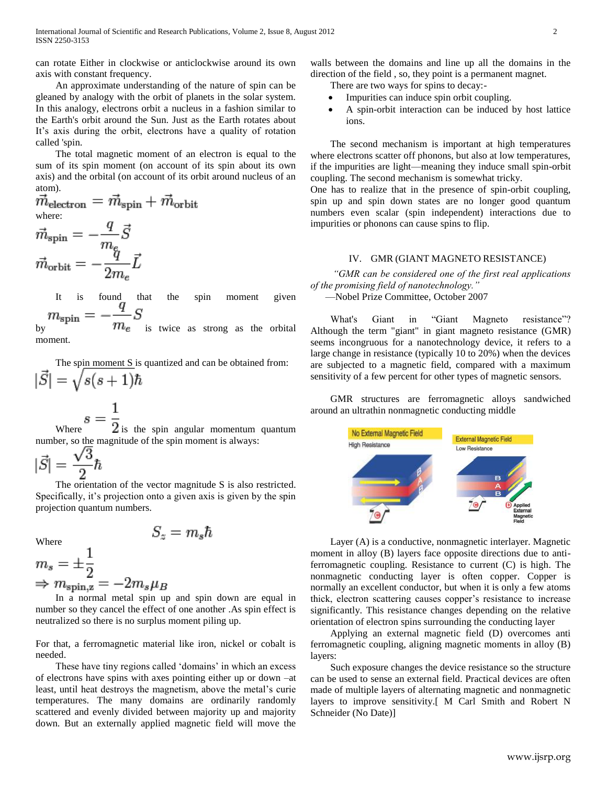can rotate Either in clockwise or anticlockwise around its own axis with constant frequency.

 An approximate understanding of the nature of spin can be gleaned by analogy with the orbit of planets in the solar system. In this analogy, electrons orbit a nucleus in a fashion similar to the Earth's orbit around the Sun. Just as the Earth rotates about It's axis during the orbit, electrons have a quality of rotation called 'spin.

 The total magnetic moment of an electron is equal to the sum of its spin moment (on account of its spin about its own axis) and the orbital (on account of its orbit around nucleus of an atom).

 $\vec{m}_{\text{electron}} = \vec{m}_{\text{spin}} + \vec{m}_{\text{orbit}}$ where:  $q_{\vec{\sigma}}$ ₹

$$
m_{\text{spin}} = -\frac{1}{m_e}S
$$

$$
\vec{m}_{\text{orbit}} = -\frac{q}{2m_e}\vec{L}
$$

It is found that the spin moment given<br> $m_{\text{spin}} = -\frac{q}{m_e} S$  is twice as strong as the orbital

is twice as strong as the orbital moment.

 The spin moment S is quantized and can be obtained from:  $|\vec{S}| = \sqrt{s(s+1)}\hbar$ 

$$
s=\frac{1}{2}
$$

Where  $\frac{1}{2}$  is the spin angular momentum quantum number, so the magnitude of the spin moment is always:

$$
|\vec{S}| = \frac{\sqrt{3}}{2}\hbar
$$

 The orientation of the vector magnitude S is also restricted. Specifically, it's projection onto a given axis is given by the spin projection quantum numbers.

Where

$$
S_z=m_s\hbar
$$

$$
m_s = \pm \frac{1}{2}
$$
  
\n
$$
\Rightarrow m_{\text{spin,z}} = -2m_s \mu_B
$$

1

 In a normal metal spin up and spin down are equal in number so they cancel the effect of one another .As spin effect is neutralized so there is no surplus moment piling up.

For that, a ferromagnetic material like iron, nickel or cobalt is needed.

These have tiny regions called 'domains' in which an excess of electrons have spins with axes pointing either up or down –at least, until heat destroys the magnetism, above the metal's curie temperatures. The many domains are ordinarily randomly scattered and evenly divided between majority up and majority down. But an externally applied magnetic field will move the

walls between the domains and line up all the domains in the direction of the field , so, they point is a permanent magnet.

There are two ways for spins to decay:-

- Impurities can induce spin orbit coupling.
- A spin-orbit interaction can be induced by host lattice ions.

 The second mechanism is important at high temperatures where electrons scatter off phonons, but also at low temperatures, if the impurities are light—meaning they induce small spin-orbit coupling. The second mechanism is somewhat tricky.

One has to realize that in the presence of spin-orbit coupling, spin up and spin down states are no longer good quantum numbers even scalar (spin independent) interactions due to impurities or phonons can cause spins to flip.

# IV. GMR (GIANT MAGNETO RESISTANCE)

 *"GMR can be considered one of the first real applications of the promising field of nanotechnology."* —Nobel Prize Committee, October 2007

What's Giant in "Giant Magneto resistance"? Although the term "giant" in giant magneto resistance (GMR) seems incongruous for a nanotechnology device, it refers to a large change in resistance (typically 10 to 20%) when the devices are subjected to a magnetic field, compared with a maximum sensitivity of a few percent for other types of magnetic sensors.

 GMR structures are ferromagnetic alloys sandwiched around an ultrathin nonmagnetic conducting middle



 Layer (A) is a conductive, nonmagnetic interlayer. Magnetic moment in alloy (B) layers face opposite directions due to antiferromagnetic coupling. Resistance to current (C) is high. The nonmagnetic conducting layer is often copper. Copper is normally an excellent conductor, but when it is only a few atoms thick, electron scattering causes copper's resistance to increase significantly. This resistance changes depending on the relative orientation of electron spins surrounding the conducting layer

 Applying an external magnetic field (D) overcomes anti ferromagnetic coupling, aligning magnetic moments in alloy (B) layers:

 Such exposure changes the device resistance so the structure can be used to sense an external field. Practical devices are often made of multiple layers of alternating magnetic and nonmagnetic layers to improve sensitivity.[ M Carl Smith and Robert N Schneider (No Date)]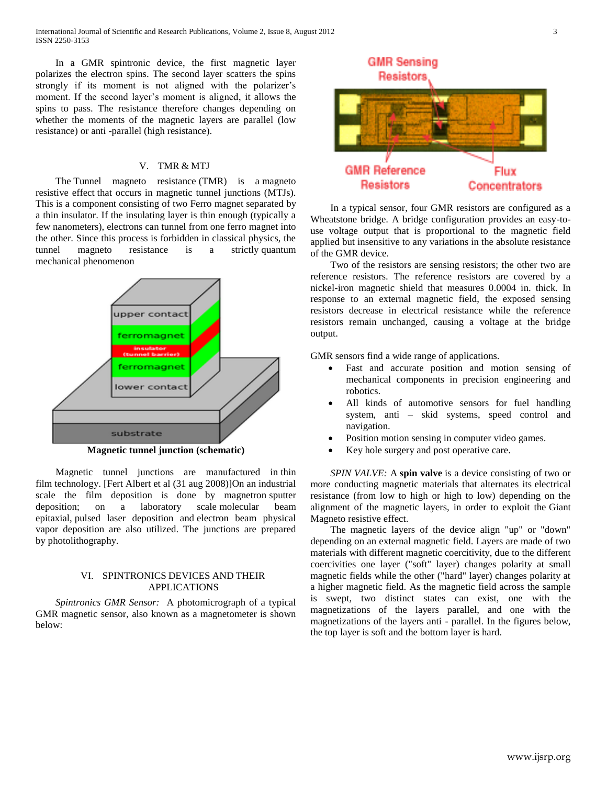In a GMR spintronic device, the first magnetic layer polarizes the electron spins. The second layer scatters the spins strongly if its moment is not aligned with the polarizer's moment. If the second layer's moment is aligned, it allows the spins to pass. The resistance therefore changes depending on whether the moments of the magnetic layers are parallel (low resistance) or anti -parallel (high resistance).

# V. TMR & MTJ

 The Tunnel magneto resistance (TMR) is a magneto resistive effect that occurs in magnetic tunnel junctions (MTJs). This is a component consisting of two Ferro magnet separated by a thin insulator. If the insulating layer is thin enough (typically a few nanometers), electrons can tunnel from one ferro magnet into the other. Since this process is forbidden in classical physics, the tunnel magneto resistance is a strictly quantum mechanical phenomenon



**Magnetic tunnel junction (schematic)**

 Magnetic tunnel junctions are manufactured in thin film technology. [Fert Albert et al (31 aug 2008)]On an industrial scale the film deposition is done by magnetron sputter deposition; on a laboratory scale molecular beam epitaxial, pulsed laser deposition and electron beam physical vapor deposition are also utilized. The junctions are prepared by photolithography.

# VI. SPINTRONICS DEVICES AND THEIR APPLICATIONS

 *Spintronics GMR Sensor:* A photomicrograph of a typical GMR magnetic sensor, also known as a magnetometer is shown below:



 In a typical sensor, four GMR resistors are configured as a Wheatstone bridge. A bridge configuration provides an easy-touse voltage output that is proportional to the magnetic field applied but insensitive to any variations in the absolute resistance of the GMR device.

 Two of the resistors are sensing resistors; the other two are reference resistors. The reference resistors are covered by a nickel-iron magnetic shield that measures 0.0004 in. thick. In response to an external magnetic field, the exposed sensing resistors decrease in electrical resistance while the reference resistors remain unchanged, causing a voltage at the bridge output.

GMR sensors find a wide range of applications.

- Fast and accurate position and motion sensing of mechanical components in precision engineering and robotics.
- All kinds of automotive sensors for fuel handling system, anti – skid systems, speed control and navigation.
- Position motion sensing in computer video games.
- Key hole surgery and post operative care.

*SPIN VALVE:* A spin valve is a device consisting of two or more conducting magnetic materials that alternates its electrical resistance (from low to high or high to low) depending on the alignment of the magnetic layers, in order to exploit the Giant Magneto resistive effect.

 The magnetic layers of the device align "up" or "down" depending on an external magnetic field. Layers are made of two materials with different magnetic coercitivity, due to the different coercivities one layer ("soft" layer) changes polarity at small magnetic fields while the other ("hard" layer) changes polarity at a higher magnetic field. As the magnetic field across the sample is swept, two distinct states can exist, one with the magnetizations of the layers parallel, and one with the magnetizations of the layers anti - parallel. In the figures below, the top layer is soft and the bottom layer is hard.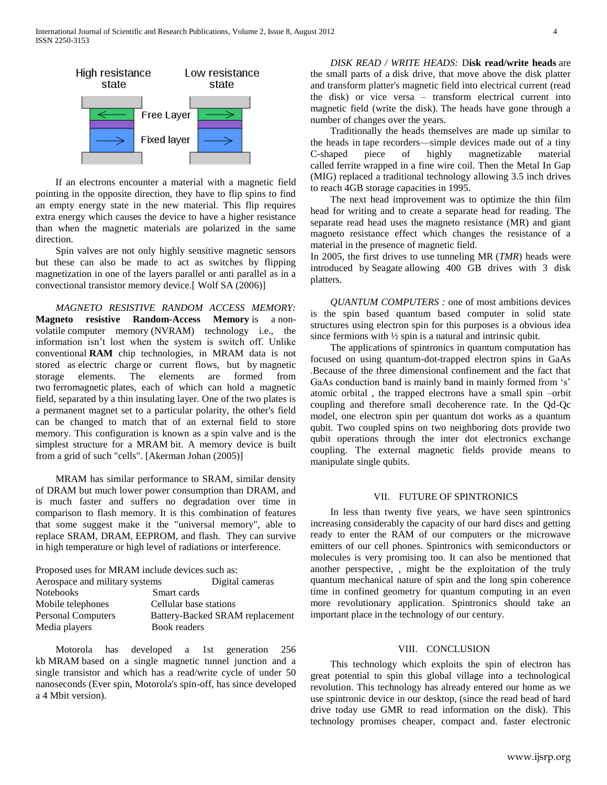

 If an electrons encounter a material with a magnetic field pointing in the opposite direction, they have to flip spins to find an empty energy state in the new material. This flip requires extra energy which causes the device to have a higher resistance than when the magnetic materials are polarized in the same direction.

 Spin valves are not only highly sensitive magnetic sensors but these can also be made to act as switches by flipping magnetization in one of the layers parallel or anti parallel as in a convectional transistor memory device.[ Wolf SA (2006)]

 *MAGNETO RESISTIVE RANDOM ACCESS MEMORY:*  **Magneto resistive Random-Access Memory** is a nonvolatile computer memory (NVRAM) technology i.e., the information isn't lost when the system is switch off. Unlike conventional **RAM** chip technologies, in MRAM data is not stored as electric charge or current flows, but by magnetic storage elements. The elements are formed from two ferromagnetic plates, each of which can hold a magnetic field, separated by a thin insulating layer. One of the two plates is a permanent magnet set to a particular polarity, the other's field can be changed to match that of an external field to store memory. This configuration is known as a spin valve and is the simplest structure for a MRAM bit. A memory device is built from a grid of such "cells". [Akerman Johan (2005)]

 MRAM has similar performance to SRAM, similar density of DRAM but much lower power consumption than DRAM, and is much faster and suffers no degradation over time in comparison to flash memory. It is this combination of features that some suggest make it the "universal memory", able to replace SRAM, DRAM, EEPROM, and flash. They can survive in high temperature or high level of radiations or interference.

| Proposed uses for MRAM include devices such as: |                                 |
|-------------------------------------------------|---------------------------------|
| Aerospace and military systems                  | Digital cameras                 |
| Notebooks                                       | Smart cards                     |
| Mobile telephones                               | Cellular base stations          |
| <b>Personal Computers</b>                       | Battery-Backed SRAM replacement |
| Media players                                   | Book readers                    |

 Motorola has developed a 1st generation 256 kb MRAM based on a single magnetic tunnel junction and a single transistor and which has a read/write cycle of under 50 nanoseconds (Ever spin, Motorola's spin-off, has since developed a 4 Mbit version).

 *DISK READ / WRITE HEADS:* D**isk read/write heads** are the small parts of a disk drive, that move above the disk platter and transform platter's magnetic field into electrical current (read the disk) or vice versa – transform electrical current into magnetic field (write the disk). The heads have gone through a number of changes over the years.

 Traditionally the heads themselves are made up similar to the heads in tape recorders—simple devices made out of a tiny C-shaped piece of highly magnetizable material called ferrite wrapped in a fine wire coil. Then the Metal In Gap (MIG) replaced a traditional technology allowing 3.5 inch drives to reach 4GB storage capacities in 1995.

 The next head improvement was to optimize the thin film head for writing and to create a separate head for reading. The separate read head uses the magneto resistance (MR) and giant magneto resistance effect which changes the resistance of a material in the presence of magnetic field.

In 2005, the first drives to use tunneling MR (*TMR*) heads were introduced by Seagate allowing 400 GB drives with 3 disk platters.

 *QUANTUM COMPUTERS :* one of most ambitions devices is the spin based quantum based computer in solid state structures using electron spin for this purposes is a obvious idea since fermions with  $\frac{1}{2}$  spin is a natural and intrinsic qubit.

 The applications of spintronics in quantum computation has focused on using quantum-dot-trapped electron spins in GaAs .Because of the three dimensional confinement and the fact that GaAs conduction band is mainly band in mainly formed from 's' atomic orbital , the trapped electrons have a small spin –orbit coupling and therefore small decoherence rate. In the Qd-Qc model, one electron spin per quantum dot works as a quantum qubit. Two coupled spins on two neighboring dots provide two qubit operations through the inter dot electronics exchange coupling. The external magnetic fields provide means to manipulate single qubits.

### VII. FUTURE OF SPINTRONICS

 In less than twenty five years, we have seen spintronics increasing considerably the capacity of our hard discs and getting ready to enter the RAM of our computers or the microwave emitters of our cell phones. Spintronics with semiconductors or molecules is very promising too. It can also be mentioned that another perspective, , might be the exploitation of the truly quantum mechanical nature of spin and the long spin coherence time in confined geometry for quantum computing in an even more revolutionary application. Spintronics should take an important place in the technology of our century.

# VIII. CONCLUSION

 This technology which exploits the spin of electron has great potential to spin this global village into a technological revolution. This technology has already entered our home as we use spintronic device in our desktop, (since the read head of hard drive today use GMR to read information on the disk). This technology promises cheaper, compact and. faster electronic